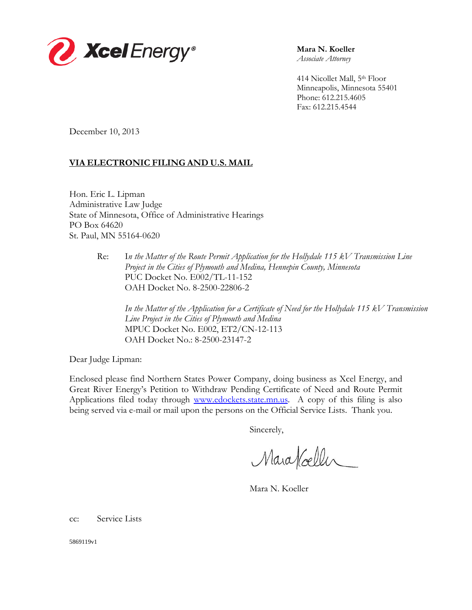

**Mara N. Koeller**  *Associate Attorney* 

 414 Nicollet Mall, 5th Floor Minneapolis, Minnesota 55401 Phone: 612.215.4605 Fax: 612.215.4544

December 10, 2013

### **VIA ELECTRONIC FILING AND U.S. MAIL**

Hon. Eric L. Lipman Administrative Law Judge State of Minnesota, Office of Administrative Hearings PO Box 64620 St. Paul, MN 55164-0620

 *In the Matter of the Application for a Certificate of Need for the Hollydale 115 kV Transmission Line Project in the Cities of Plymouth and Medina*  MPUC Docket No. E002, ET2/CN-12-113 OAH Docket No.: 8-2500-23147-2

Dear Judge Lipman:

Enclosed please find Northern States Power Company, doing business as Xcel Energy, and Great River Energy's Petition to Withdraw Pending Certificate of Need and Route Permit Applications filed today through www.edockets.state.mn.us. A copy of this filing is also being served via e-mail or mail upon the persons on the Official Service Lists. Thank you.

Sincerely,

Maraffieller

Mara N. Koeller

cc: Service Lists

5869119v1

Re: I*n the Matter of the Route Permit Application for the Hollydale 115 kV Transmission Line Project in the Cities of Plymouth and Medina, Hennepin County, Minnesota* PUC Docket No. E002/TL-11-152 OAH Docket No. 8-2500-22806-2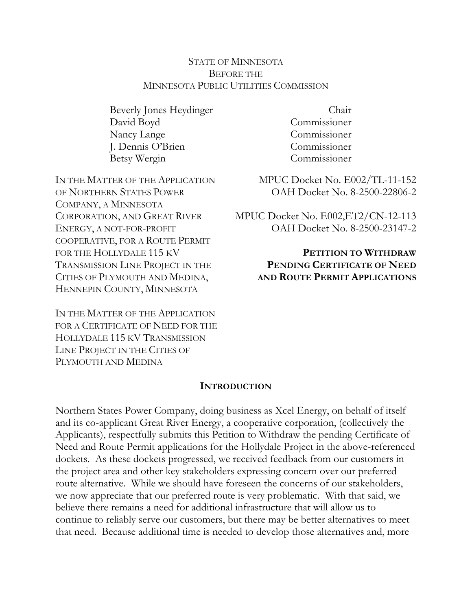## STATE OF MINNESOTA BEFORE THE MINNESOTA PUBLIC UTILITIES COMMISSION

Beverly Jones Heydinger David Boyd Nancy Lange J. Dennis O'Brien Betsy Wergin

IN THE MATTER OF THE APPLICATION OF NORTHERN STATES POWER COMPANY, A MINNESOTA CORPORATION, AND GREAT RIVER ENERGY, A NOT-FOR-PROFIT COOPERATIVE, FOR A ROUTE PERMIT FOR THE HOLLYDALE 115 KV TRANSMISSION LINE PROJECT IN THE CITIES OF PLYMOUTH AND MEDINA, HENNEPIN COUNTY, MINNESOTA

IN THE MATTER OF THE APPLICATION FOR A CERTIFICATE OF NEED FOR THE HOLLYDALE 115 KV TRANSMISSION LINE PROJECT IN THE CITIES OF PLYMOUTH AND MEDINA

Chair Commissioner Commissioner Commissioner Commissioner

MPUC Docket No. E002/TL-11-152 OAH Docket No. 8-2500-22806-2

MPUC Docket No. E002,ET2/CN-12-113 OAH Docket No. 8-2500-23147-2

## **PETITION TO WITHDRAW PENDING CERTIFICATE OF NEED AND ROUTE PERMIT APPLICATIONS**

### **INTRODUCTION**

Northern States Power Company, doing business as Xcel Energy, on behalf of itself and its co-applicant Great River Energy, a cooperative corporation, (collectively the Applicants), respectfully submits this Petition to Withdraw the pending Certificate of Need and Route Permit applications for the Hollydale Project in the above-referenced dockets. As these dockets progressed, we received feedback from our customers in the project area and other key stakeholders expressing concern over our preferred route alternative. While we should have foreseen the concerns of our stakeholders, we now appreciate that our preferred route is very problematic. With that said, we believe there remains a need for additional infrastructure that will allow us to continue to reliably serve our customers, but there may be better alternatives to meet that need. Because additional time is needed to develop those alternatives and, more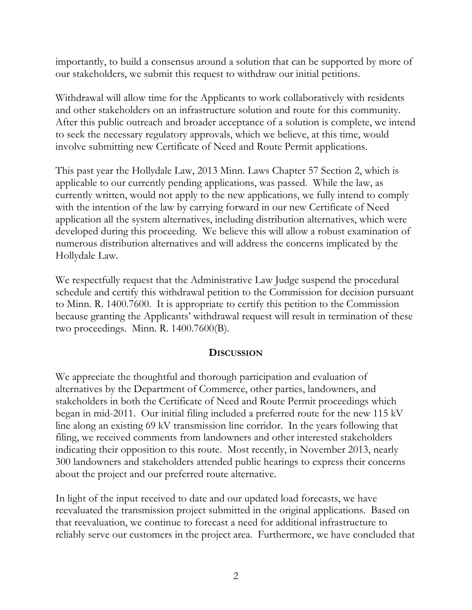importantly, to build a consensus around a solution that can be supported by more of our stakeholders, we submit this request to withdraw our initial petitions.

Withdrawal will allow time for the Applicants to work collaboratively with residents and other stakeholders on an infrastructure solution and route for this community. After this public outreach and broader acceptance of a solution is complete, we intend to seek the necessary regulatory approvals, which we believe, at this time, would involve submitting new Certificate of Need and Route Permit applications.

This past year the Hollydale Law, 2013 Minn. Laws Chapter 57 Section 2, which is applicable to our currently pending applications, was passed. While the law, as currently written, would not apply to the new applications, we fully intend to comply with the intention of the law by carrying forward in our new Certificate of Need application all the system alternatives, including distribution alternatives, which were developed during this proceeding. We believe this will allow a robust examination of numerous distribution alternatives and will address the concerns implicated by the Hollydale Law.

We respectfully request that the Administrative Law Judge suspend the procedural schedule and certify this withdrawal petition to the Commission for decision pursuant to Minn. R. 1400.7600. It is appropriate to certify this petition to the Commission because granting the Applicants' withdrawal request will result in termination of these two proceedings. Minn. R. 1400.7600(B).

# **DISCUSSION**

We appreciate the thoughtful and thorough participation and evaluation of alternatives by the Department of Commerce, other parties, landowners, and stakeholders in both the Certificate of Need and Route Permit proceedings which began in mid-2011. Our initial filing included a preferred route for the new 115 kV line along an existing 69 kV transmission line corridor. In the years following that filing, we received comments from landowners and other interested stakeholders indicating their opposition to this route. Most recently, in November 2013, nearly 300 landowners and stakeholders attended public hearings to express their concerns about the project and our preferred route alternative.

In light of the input received to date and our updated load forecasts, we have reevaluated the transmission project submitted in the original applications. Based on that reevaluation, we continue to forecast a need for additional infrastructure to reliably serve our customers in the project area. Furthermore, we have concluded that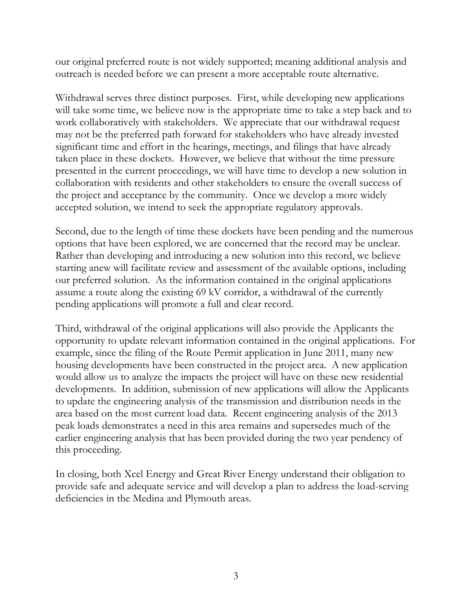our original preferred route is not widely supported; meaning additional analysis and outreach is needed before we can present a more acceptable route alternative.

Withdrawal serves three distinct purposes. First, while developing new applications will take some time, we believe now is the appropriate time to take a step back and to work collaboratively with stakeholders. We appreciate that our withdrawal request may not be the preferred path forward for stakeholders who have already invested significant time and effort in the hearings, meetings, and filings that have already taken place in these dockets. However, we believe that without the time pressure presented in the current proceedings, we will have time to develop a new solution in collaboration with residents and other stakeholders to ensure the overall success of the project and acceptance by the community. Once we develop a more widely accepted solution, we intend to seek the appropriate regulatory approvals.

Second, due to the length of time these dockets have been pending and the numerous options that have been explored, we are concerned that the record may be unclear. Rather than developing and introducing a new solution into this record, we believe starting anew will facilitate review and assessment of the available options, including our preferred solution. As the information contained in the original applications assume a route along the existing 69 kV corridor, a withdrawal of the currently pending applications will promote a full and clear record.

Third, withdrawal of the original applications will also provide the Applicants the opportunity to update relevant information contained in the original applications. For example, since the filing of the Route Permit application in June 2011, many new housing developments have been constructed in the project area. A new application would allow us to analyze the impacts the project will have on these new residential developments. In addition, submission of new applications will allow the Applicants to update the engineering analysis of the transmission and distribution needs in the area based on the most current load data. Recent engineering analysis of the 2013 peak loads demonstrates a need in this area remains and supersedes much of the earlier engineering analysis that has been provided during the two year pendency of this proceeding.

In closing, both Xcel Energy and Great River Energy understand their obligation to provide safe and adequate service and will develop a plan to address the load-serving deficiencies in the Medina and Plymouth areas.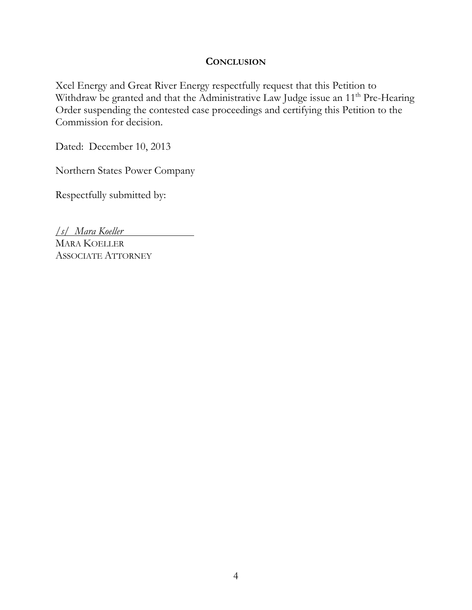### **CONCLUSION**

Xcel Energy and Great River Energy respectfully request that this Petition to Withdraw be granted and that the Administrative Law Judge issue an 11<sup>th</sup> Pre-Hearing Order suspending the contested case proceedings and certifying this Petition to the Commission for decision.

Dated: December 10, 2013

Northern States Power Company

Respectfully submitted by:

*/s/ Mara Koeller* 

MARA KOELLER ASSOCIATE ATTORNEY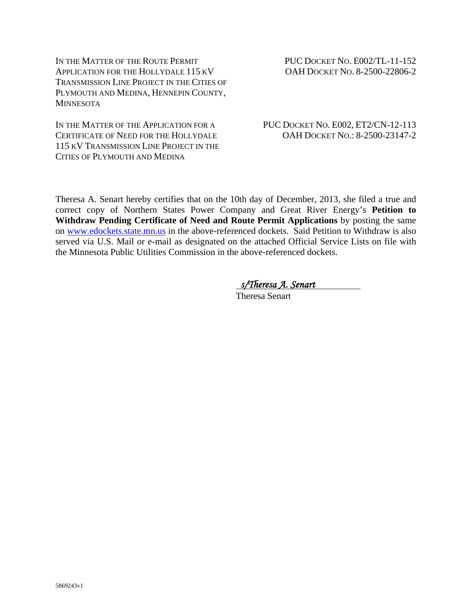IN THE MATTER OF THE ROUTE PERMIT APPLICATION FOR THE HOLLYDALE 115 KV TRANSMISSION LINE PROJECT IN THE CITIES OF PLYMOUTH AND MEDINA, HENNEPIN COUNTY, **MINNESOTA** 

IN THE MATTER OF THE APPLICATION FOR A CERTIFICATE OF NEED FOR THE HOLLYDALE 115 KV TRANSMISSION LINE PROJECT IN THE CITIES OF PLYMOUTH AND MEDINA

 PUC DOCKET NO. E002/TL-11-152 OAH DOCKET NO. 8-2500-22806-2

### PUC DOCKET NO. E002, ET2/CN-12-113 OAH DOCKET NO.: 8-2500-23147-2

Theresa A. Senart hereby certifies that on the 10th day of December, 2013, she filed a true and correct copy of Northern States Power Company and Great River Energy's **Petition to Withdraw Pending Certificate of Need and Route Permit Applications** by posting the same on www.edockets.state.mn.us in the above-referenced dockets. Said Petition to Withdraw is also served via U.S. Mail or e-mail as designated on the attached Official Service Lists on file with the Minnesota Public Utilities Commission in the above-referenced dockets.

#### *s/Theresa A. Senart*

Theresa Senart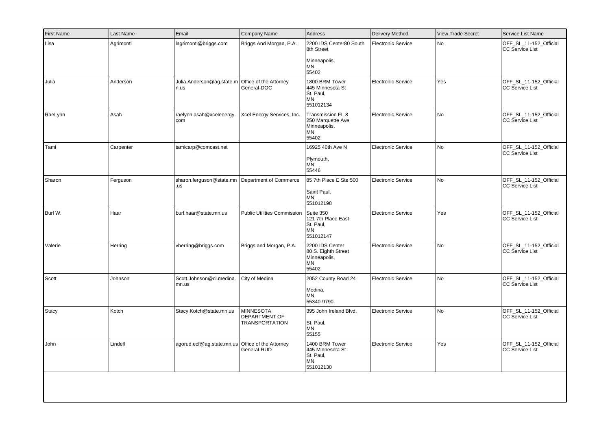| <b>First Name</b> | Last Name | Email                                                    | Company Name                                               | Address                                                                      | <b>Delivery Method</b>    | <b>View Trade Secret</b> | Service List Name                                |
|-------------------|-----------|----------------------------------------------------------|------------------------------------------------------------|------------------------------------------------------------------------------|---------------------------|--------------------------|--------------------------------------------------|
| Lisa              | Agrimonti | lagrimonti@briggs.com                                    | Briggs And Morgan, P.A.                                    | 2200 IDS Center80 South<br>8th Street<br>Minneapolis,<br><b>MN</b><br>55402  | <b>Electronic Service</b> | <b>No</b>                | OFF_SL_11-152_Official<br>CC Service List        |
| Julia             | Anderson  | Julia.Anderson@ag.state.m Office of the Attorney<br>n.us | General-DOC                                                | 1800 BRM Tower<br>445 Minnesota St<br>St. Paul,<br>MN<br>551012134           | <b>Electronic Service</b> | Yes                      | OFF_SL_11-152_Official<br>CC Service List        |
| RaeLynn           | Asah      | raelynn.asah@xcelenergy.<br>  com                        | Xcel Energy Services, Inc.                                 | Transmission FL 8<br>250 Marquette Ave<br>Minneapolis,<br>MN<br>55402        | <b>Electronic Service</b> | No                       | OFF_SL_11-152_Official<br>CC Service List        |
| Tami              | Carpenter | tamicarp@comcast.net                                     |                                                            | 16925 40th Ave N<br>Plymouth,<br><b>MN</b><br>55446                          | <b>Electronic Service</b> | No                       | OFF_SL_11-152_Official<br>CC Service List        |
| Sharon            | Ferguson  | sharon.ferguson@state.mn   Department of Commerce<br>.us |                                                            | 85 7th Place E Ste 500<br>Saint Paul,<br><b>MN</b><br>551012198              | <b>Electronic Service</b> | No                       | OFF_SL_11-152_Official<br>CC Service List        |
| Burl W.           | Haar      | burl.haar@state.mn.us                                    | <b>Public Utilities Commission</b>                         | Suite 350<br>121 7th Place East<br>St. Paul,<br>ΜN<br>551012147              | <b>Electronic Service</b> | Yes                      | OFF_SL_11-152_Official<br><b>CC Service List</b> |
| Valerie           | Herring   | vherring@briggs.com                                      | Briggs and Morgan, P.A.                                    | 2200 IDS Center<br>80 S. Eighth Street<br>Minneapolis,<br><b>MN</b><br>55402 | <b>Electronic Service</b> | No                       | OFF_SL_11-152_Official<br><b>CC Service List</b> |
| Scott             | Johnson   | Scott.Johnson@ci.medina.<br>mn.us                        | City of Medina                                             | 2052 County Road 24<br>Medina,<br><b>MN</b><br>55340-9790                    | <b>Electronic Service</b> | No                       | OFF SL 11-152 Official<br><b>CC Service List</b> |
| Stacy             | Kotch     | Stacy.Kotch@state.mn.us                                  | <b>MINNESOTA</b><br>DEPARTMENT OF<br><b>TRANSPORTATION</b> | 395 John Ireland Blvd.<br>St. Paul,<br>MN<br>55155                           | <b>Electronic Service</b> | No                       | OFF_SL_11-152_Official<br>CC Service List        |
| John              | Lindell   | agorud.ecf@ag.state.mn.us Office of the Attorney         | General-RUD                                                | 1400 BRM Tower<br>445 Minnesota St<br>St. Paul,<br>MN<br>551012130           | <b>Electronic Service</b> | Yes                      | OFF_SL_11-152_Official<br>CC Service List        |
|                   |           |                                                          |                                                            |                                                                              |                           |                          |                                                  |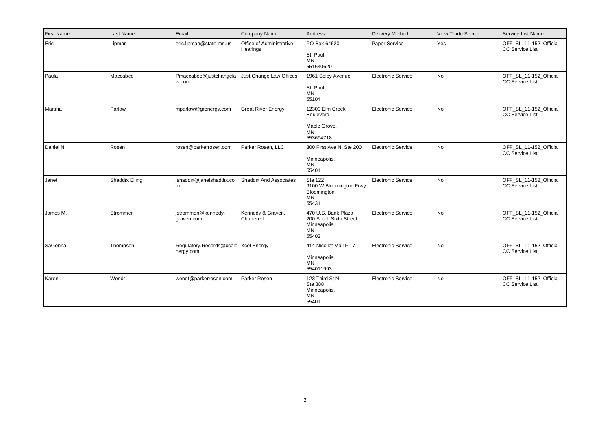| First Name | Last Name      | Email                                               | Company Name                         | Address                                                                             | Delivery Method    | <b>View Trade Secret</b> | Service List Name                                |
|------------|----------------|-----------------------------------------------------|--------------------------------------|-------------------------------------------------------------------------------------|--------------------|--------------------------|--------------------------------------------------|
| Eric       | Lipman         | eric.lipman@state.mn.us                             | Office of Administrative<br>Hearings | PO Box 64620<br>St. Paul,<br><b>MN</b><br>551640620                                 | Paper Service      | Yes                      | OFF_SL_11-152_Official<br><b>CC Service List</b> |
| Paula      | Maccabee       | Pmaccabee@justchangela<br>w.com                     | Just Change Law Offices              | 1961 Selby Avenue<br>St. Paul,<br><b>MN</b><br>55104                                | Electronic Service | l No                     | OFF_SL_11-152_Official<br><b>CC Service List</b> |
| Marsha     | Parlow         | mparlow@grenergy.com                                | <b>Great River Energy</b>            | 12300 Elm Creek<br>Boulevard<br>Maple Grove,<br><b>MN</b><br>553694718              | Electronic Service | l No                     | OFF_SL_11-152_Official<br><b>CC Service List</b> |
| Daniel N.  | Rosen          | rosen@parkerrosen.com                               | Parker Rosen, LLC                    | 300 First Ave N, Ste 200<br>Minneapolis,<br><b>MN</b><br>55401                      | Electronic Service | l No                     | OFF_SL_11-152_Official<br><b>CC Service List</b> |
| Janet      | Shaddix Elling | shaddix@janetshaddix.co                             | <b>Shaddix And Associates</b>        | <b>Ste 122</b><br>9100 W Bloomington Frwy<br>Bloomington,<br><b>MN</b><br>55431     | Electronic Service | l No                     | OFF_SL_11-152_Official<br><b>CC Service List</b> |
| James M.   | Strommen       | jstrommen@kennedy-<br>graven.com                    | Kennedy & Graven,<br>Chartered       | 470 U.S. Bank Plaza<br>200 South Sixth Street<br>Minneapolis,<br><b>MN</b><br>55402 | Electronic Service | l No                     | OFF SL 11-152 Official<br><b>CC Service List</b> |
| SaGonna    | Thompson       | Regulatory.Records@xcele   Xcel Energy<br>nergy.com |                                      | 414 Nicollet Mall FL 7<br>Minneapolis,<br><b>MN</b><br>554011993                    | Electronic Service | No                       | OFF_SL_11-152_Official<br><b>CC Service List</b> |
| Karen      | Wendt          | wendt@parkerrosen.com                               | Parker Rosen                         | 123 Third St N<br><b>Ste 888</b><br>Minneapolis,<br>MN<br>55401                     | Electronic Service | l No                     | OFF SL 11-152 Official<br>CC Service List        |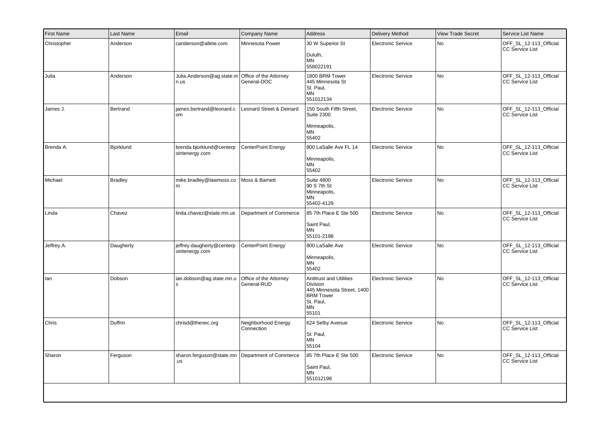| First Name  | Last Name      | Email                                                  | Company Name                          | Address                                                                                                                  | Delivery Method           | <b>View Trade Secret</b> | Service List Name                                |
|-------------|----------------|--------------------------------------------------------|---------------------------------------|--------------------------------------------------------------------------------------------------------------------------|---------------------------|--------------------------|--------------------------------------------------|
| Christopher | Anderson       | canderson@allete.com                                   | Minnesota Power                       | 30 W Superior St<br>Duluth,<br><b>MN</b><br>558022191                                                                    | <b>Electronic Service</b> | No                       | OFF_SL_12-113_Official<br>CC Service List        |
| Julia       | Anderson       | Julia.Anderson@ag.state.m<br>n.us                      | Office of the Attorney<br>General-DOC | 1800 BRM Tower<br>445 Minnesota St<br>St. Paul,<br>MN<br>551012134                                                       | <b>Electronic Service</b> | No                       | OFF_SL_12-113_Official<br><b>CC Service List</b> |
| James J.    | Bertrand       | iames.bertrand@leonard.c<br>l om                       | Leonard Street & Deinard              | 150 South Fifth Street,<br><b>Suite 2300</b><br>Minneapolis,<br><b>MN</b><br>55402                                       | <b>Electronic Service</b> | No                       | OFF_SL_12-113_Official<br>CC Service List        |
| Brenda A.   | Bjorklund      | brenda.bjorklund@centerp<br>ointenergy.com             | CenterPoint Energy                    | 800 LaSalle Ave FL 14<br>Minneapolis,<br><b>MN</b><br>55402                                                              | <b>Electronic Service</b> | No                       | OFF_SL_12-113_Official<br>CC Service List        |
| Michael     | <b>Bradley</b> | mike.bradley@lawmoss.co<br>l m                         | Moss & Barnett                        | <b>Suite 4800</b><br>90 S 7th St<br>Minneapolis,<br><b>MN</b><br>55402-4129                                              | <b>Electronic Service</b> | No                       | OFF_SL_12-113_Official<br><b>CC Service List</b> |
| Linda       | Chavez         | linda.chavez@state.mn.us                               | Department of Commerce                | 85 7th Place E Ste 500<br>Saint Paul,<br>MN<br>55101-2198                                                                | <b>Electronic Service</b> | No                       | OFF_SL_12-113_Official<br><b>CC Service List</b> |
| Jeffrey A.  | Daugherty      | jeffrey.daugherty@centerp<br>ointenergy.com            | <b>CenterPoint Energy</b>             | 800 LaSalle Ave<br>Minneapolis,<br>MN<br>55402                                                                           | <b>Electronic Service</b> | No                       | OFF_SL_12-113_Official<br><b>CC Service List</b> |
| lan         | Dobson         | ian.dobson@ag.state.mn.u<br>١s                         | Office of the Attorney<br>General-RUD | <b>Antitrust and Utilities</b><br>Division<br>445 Minnesota Street, 1400<br><b>BRM</b> Tower<br>St. Paul,<br>MN<br>55101 | <b>Electronic Service</b> | No                       | OFF_SL_12-113_Official<br><b>CC Service List</b> |
| Chris       | Duffrin        | chrisd@thenec.org                                      | Neighborhood Energy<br>Connection     | 624 Selby Avenue<br>St. Paul,<br><b>MN</b><br>55104                                                                      | <b>Electronic Service</b> | No                       | OFF_SL_12-113_Official<br>CC Service List        |
| Sharon      | Ferguson       | sharon.ferguson@state.mn Department of Commerce<br>.us |                                       | 85 7th Place E Ste 500<br>Saint Paul,<br><b>MN</b><br>551012198                                                          | <b>Electronic Service</b> | <b>No</b>                | OFF_SL_12-113_Official<br><b>CC Service List</b> |
|             |                |                                                        |                                       |                                                                                                                          |                           |                          |                                                  |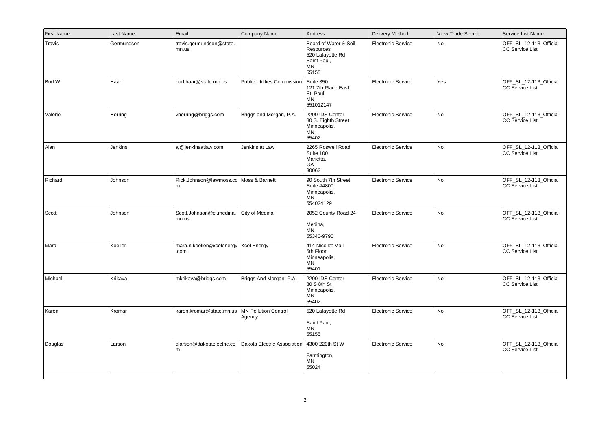| <b>First Name</b> | Last Name  | Email                                           | Company Name                                | Address                                                                              | <b>Delivery Method</b>    | <b>View Trade Secret</b> | Service List Name                                |
|-------------------|------------|-------------------------------------------------|---------------------------------------------|--------------------------------------------------------------------------------------|---------------------------|--------------------------|--------------------------------------------------|
| Travis            | Germundson | travis.germundson@state.<br>mn.us               |                                             | Board of Water & Soil<br>Resources<br>520 Lafayette Rd<br>Saint Paul,<br>MN<br>55155 | <b>Electronic Service</b> | No                       | OFF SL 12-113 Official<br>CC Service List        |
| Burl W.           | Haar       | burl.haar@state.mn.us                           | <b>Public Utilities Commission</b>          | Suite 350<br>121 7th Place East<br>St. Paul,<br>ΜN<br>551012147                      | <b>Electronic Service</b> | Yes                      | OFF SL 12-113 Official<br><b>CC Service List</b> |
| Valerie           | Herring    | vherring@briggs.com                             | Briggs and Morgan, P.A.                     | 2200 IDS Center<br>80 S. Eighth Street<br>Minneapolis,<br>MN<br>55402                | <b>Electronic Service</b> | No                       | OFF_SL_12-113_Official<br><b>CC Service List</b> |
| Alan              | Jenkins    | aj@jenkinsatlaw.com                             | Jenkins at Law                              | 2265 Roswell Road<br>Suite 100<br>Marietta,<br>GA<br>30062                           | <b>Electronic Service</b> | No                       | OFF_SL_12-113_Official<br><b>CC Service List</b> |
| Richard           | Johnson    | Rick.Johnson@lawmoss.co Moss & Barnett<br>m     |                                             | 90 South 7th Street<br>Suite #4800<br>Minneapolis,<br>ΜN<br>554024129                | <b>Electronic Service</b> | No                       | OFF SL 12-113 Official<br>CC Service List        |
| Scott             | Johnson    | Scott.Johnson@ci.medina.<br>mn.us               | City of Medina                              | 2052 County Road 24<br>Medina,<br><b>MN</b><br>55340-9790                            | <b>Electronic Service</b> | No                       | OFF_SL_12-113_Official<br><b>CC Service List</b> |
| Mara              | Koeller    | mara.n.koeller@xcelenergy   Xcel Energy<br>.com |                                             | 414 Nicollet Mall<br>5th Floor<br>Minneapolis,<br>ΜN<br>55401                        | <b>Electronic Service</b> | No                       | OFF SL 12-113 Official<br>CC Service List        |
| Michael           | Krikava    | mkrikava@briggs.com                             | Briggs And Morgan, P.A.                     | 2200 IDS Center<br>80 S 8th St<br>Minneapolis,<br><b>MN</b><br>55402                 | <b>Electronic Service</b> | No                       | OFF_SL_12-113_Official<br><b>CC Service List</b> |
| Karen             | Kromar     | karen.kromar@state.mn.us                        | <b>MN Pollution Control</b><br>Agency       | 520 Lafayette Rd<br>Saint Paul,<br>ΜN<br>55155                                       | <b>Electronic Service</b> | No                       | OFF_SL_12-113_Official<br>CC Service List        |
| Douglas           | Larson     | dlarson@dakotaelectric.co<br>m                  | Dakota Electric Association 4300 220th St W | Farmington,<br>ΜN<br>55024                                                           | <b>Electronic Service</b> | No                       | OFF_SL_12-113_Official<br>CC Service List        |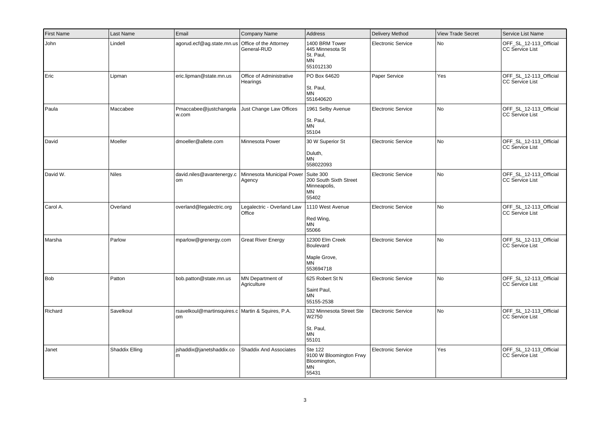| <b>First Name</b> | Last Name      | Email                                                     | Company Name                                  | Address                                                                | Delivery Method           | <b>View Trade Secret</b> | Service List Name                                |
|-------------------|----------------|-----------------------------------------------------------|-----------------------------------------------|------------------------------------------------------------------------|---------------------------|--------------------------|--------------------------------------------------|
| John              | Lindell        | agorud.ecf@ag.state.mn.us                                 | Office of the Attorney<br>General-RUD         | 1400 BRM Tower<br>445 Minnesota St<br>St. Paul,<br>ΜN<br>551012130     | <b>Electronic Service</b> | N <sub>o</sub>           | OFF SL 12-113 Official<br><b>CC Service List</b> |
| Eric              | Lipman         | eric.lipman@state.mn.us                                   | Office of Administrative<br>Hearings          | PO Box 64620<br>St. Paul,<br>MN<br>551640620                           | Paper Service             | Yes                      | OFF_SL_12-113_Official<br>CC Service List        |
| Paula             | Maccabee       | Pmaccabee@justchangela<br>w.com                           | Just Change Law Offices                       | 1961 Selby Avenue<br>St. Paul,<br><b>MN</b><br>55104                   | <b>Electronic Service</b> | No                       | OFF_SL_12-113_Official<br><b>CC Service List</b> |
| David             | Moeller        | dmoeller@allete.com                                       | Minnesota Power                               | 30 W Superior St<br>Duluth,<br>ΜN<br>558022093                         | Electronic Service        | <b>No</b>                | OFF SL 12-113 Official<br><b>CC Service List</b> |
| David W.          | <b>Niles</b>   | david.niles@avantenergy.c<br>om                           | Minnesota Municipal Power Suite 300<br>Agency | 200 South Sixth Street<br>Minneapolis,<br>MN<br>55402                  | <b>Electronic Service</b> | No                       | OFF_SL_12-113_Official<br><b>CC Service List</b> |
| Carol A.          | Overland       | overland@legalectric.org                                  | Legalectric - Overland Law<br>Office          | 1110 West Avenue<br>Red Wing,<br>MN<br>55066                           | <b>Electronic Service</b> | No                       | OFF_SL_12-113_Official<br><b>CC Service List</b> |
| Marsha            | Parlow         | mparlow@grenergy.com                                      | <b>Great River Energy</b>                     | 12300 Elm Creek<br>Boulevard<br>Maple Grove,<br><b>MN</b><br>553694718 | Electronic Service        | No                       | OFF SL 12-113 Official<br><b>CC Service List</b> |
| <b>Bob</b>        | Patton         | bob.patton@state.mn.us                                    | MN Department of<br>Agriculture               | 625 Robert St N<br>Saint Paul,<br><b>MN</b><br>55155-2538              | <b>Electronic Service</b> | <b>No</b>                | OFF_SL_12-113_Official<br><b>CC Service List</b> |
| Richard           | Savelkoul      | rsavelkoul@martinsquires.c Martin & Squires, P.A.<br>l om |                                               | 332 Minnesota Street Ste<br>W2750<br>St. Paul,<br><b>MN</b><br>55101   | Electronic Service        | No                       | OFF SL 12-113 Official<br><b>CC Service List</b> |
| Janet             | Shaddix Elling | shaddix@janetshaddix.co<br>l m                            | Shaddix And Associates                        | Ste 122<br>9100 W Bloomington Frwy<br>Bloomington,<br>MN<br>55431      | <b>Electronic Service</b> | Yes                      | OFF_SL_12-113_Official<br><b>CC Service List</b> |